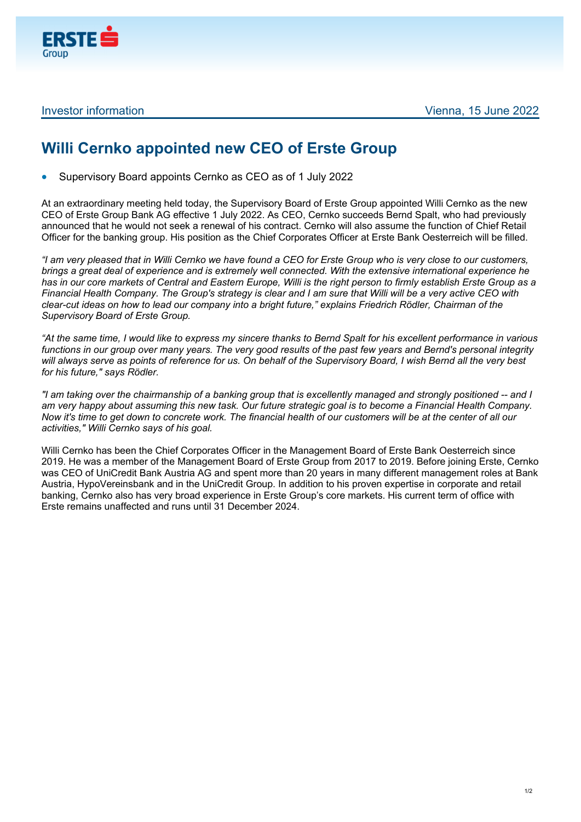

## **Willi Cernko appointed new CEO of Erste Group**

Supervisory Board appoints Cernko as CEO as of 1 July 2022

At an extraordinary meeting held today, the Supervisory Board of Erste Group appointed Willi Cernko as the new CEO of Erste Group Bank AG effective 1 July 2022. As CEO, Cernko succeeds Bernd Spalt, who had previously announced that he would not seek a renewal of his contract. Cernko will also assume the function of Chief Retail Officer for the banking group. His position as the Chief Corporates Officer at Erste Bank Oesterreich will be filled.

*"I am very pleased that in Willi Cernko we have found a CEO for Erste Group who is very close to our customers, brings a great deal of experience and is extremely well connected. With the extensive international experience he has in our core markets of Central and Eastern Europe, Willi is the right person to firmly establish Erste Group as a Financial Health Company. The Group's strategy is clear and I am sure that Willi will be a very active CEO with clear-cut ideas on how to lead our company into a bright future," explains Friedrich Rödler, Chairman of the Supervisory Board of Erste Group.* 

*"At the same time, I would like to express my sincere thanks to Bernd Spalt for his excellent performance in various functions in our group over many years. The very good results of the past few years and Bernd's personal integrity will always serve as points of reference for us. On behalf of the Supervisory Board, I wish Bernd all the very best for his future," says Rödler.* 

*"I am taking over the chairmanship of a banking group that is excellently managed and strongly positioned -- and I am very happy about assuming this new task. Our future strategic goal is to become a Financial Health Company. Now it's time to get down to concrete work. The financial health of our customers will be at the center of all our activities," Willi Cernko says of his goal.* 

Willi Cernko has been the Chief Corporates Officer in the Management Board of Erste Bank Oesterreich since 2019. He was a member of the Management Board of Erste Group from 2017 to 2019. Before joining Erste, Cernko was CEO of UniCredit Bank Austria AG and spent more than 20 years in many different management roles at Bank Austria, HypoVereinsbank and in the UniCredit Group. In addition to his proven expertise in corporate and retail banking, Cernko also has very broad experience in Erste Group's core markets. His current term of office with Erste remains unaffected and runs until 31 December 2024.